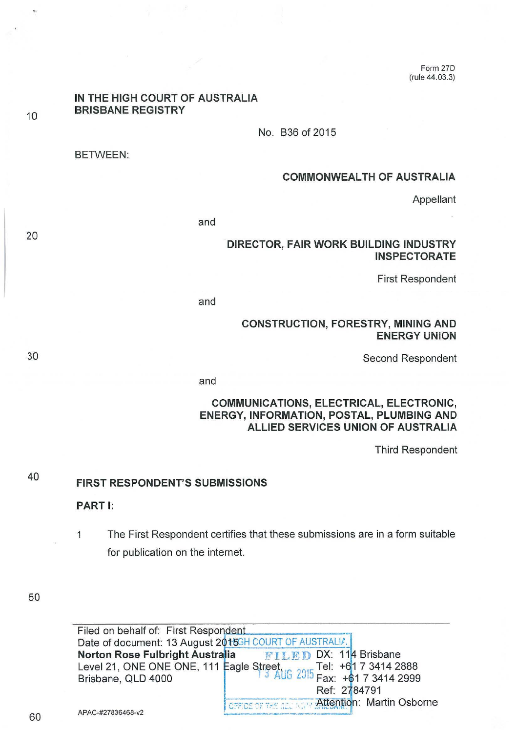Form 270 (rule 44.03.3)

# **IN THE HIGH COURT OF AUSTRALIA BRISBANE REGISTRY**  No. B36 of 2015

BETWEEN:

10

20

30

#### **COMMONWEALTH OF AUSTRALIA**

Appellant

and

#### **DIRECTOR, FAIR WORK BUILDING INDUSTRY INSPECTORATE**

First Respondent

and

#### **CONSTRUCTION, FORESTRY, MINING AND ENERGY UNION**

Second Respondent

and

## **COMMUNICATIONS, ELECTRICAL, ELECTRONIC, ENERGY, INFORMATION, POSTAL, PLUMBING AND ALLIED SERVICES UNION OF AUSTRALIA**

Third Respondent

#### 40 **FIRST RESPONDENT'S SUBMISSIONS**

**PART** I:

1 The First Respondent certifies that these submissions are in a form suitable for publication on the internet.

50

Filed on behalf of: First Respondent Date of document: 13 August 2015GH COURT OF AUSTRALIA. **Norton Rose Fulbright Australia Art FILED DX: 114 Brisbane** Brisbane, QLD 4000  $\sqrt{3}$  AUG  $2015$  Fax: +61 7 3414 2999 Ref: 2784791<br>CEFICE OF THE BELISTING **Attention: Martin Osborne**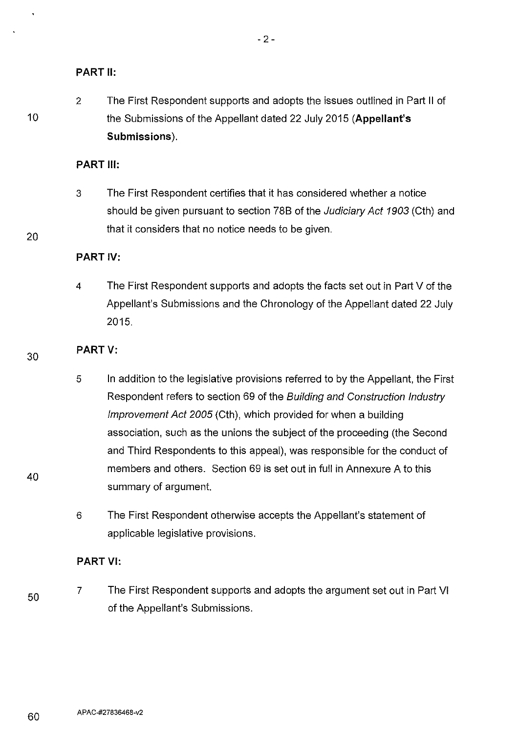## **PART II:**

10

20

30

40

2 The First Respondent supports and adopts the issues outlined in Part II of the Submissions of the Appellant dated 22 July 2015 **(Appellant's Submissions).** 

## **PART Ill:**

3 The First Respondent certifies that it has considered whether a notice should be given pursuant to section 788 of the Judiciary Act 1903 (Cth) and that it considers that no notice needs to be given.

## **PART** IV:

4 The First Respondent supports and adopts the facts set out in Part V of the Appellant's Submissions and the Chronology of the Appellant dated 22 July 2015.

## **PARTV:**

- 5 In addition to the legislative provisions referred to by the Appellant, the First Respondent refers to section 69 of the Building and Construction Industry Improvement Act 2005 (Cth), which provided for when a building association, such as the unions the subject of the proceeding (the Second and Third Respondents to this appeal), was responsible for the conduct of members and others. Section 69 is set out in full in Annexure A to this summary of argument.
- 6 The First Respondent otherwise accepts the Appellant's statement of applicable legislative provisions.

#### **PART** VI:

50 7 The First Respondent supports and adopts the argument set out in Part VI of the Appellant's Submissions.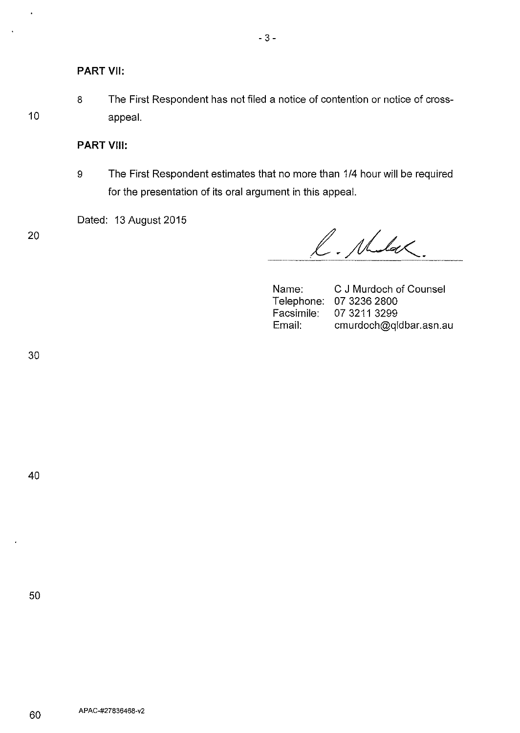8 The First Respondent has not filed a notice of contention or notice of crossappeal.

### **PART** VIII:

9 The First Respondent estimates that no more than 1/4 hour will be required for the presentation of its oral argument in this appeal.

Dated: 13 August 2015

20

10

l.

L. Mulak.

Name: Telephone: 07 3236 2800 Facsimile: Email: C J Murdoch of Counsel 07 3211 3299 cmurdoch@qldbar.asn.au

30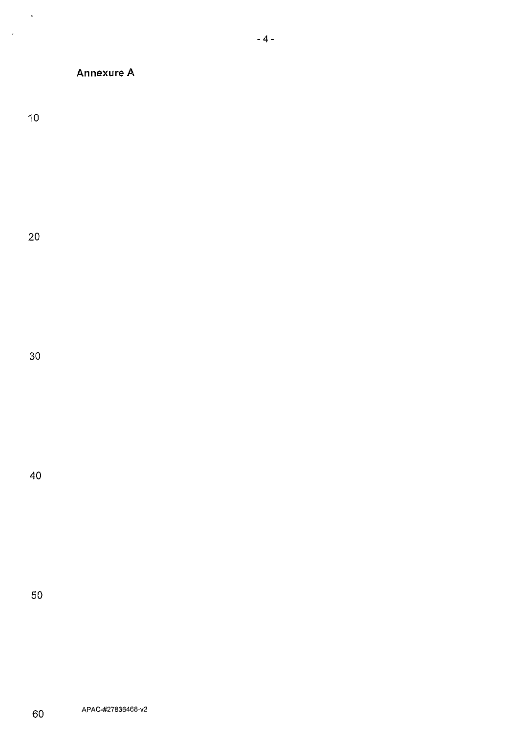## **Annexure A**

10

 $\ddot{\bullet}$ 

 $\langle \rangle$ 

20

30

40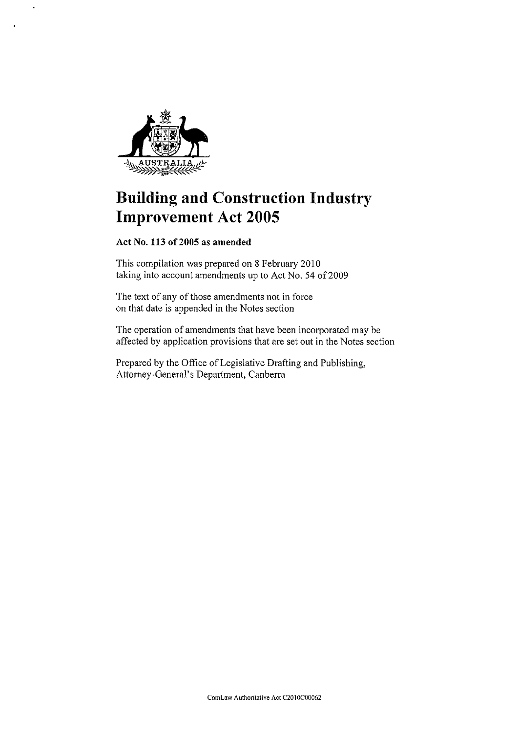

 $\ddot{\phantom{1}}$ 

# **Building and Construction Industry Improvement Act 2005**

**Act** No. **113 of2005 as amended** 

This compilation was prepared on 8 February 2010 taking into account amendments up to Act No. 54 of 2009

The text of any of those amendments not in force on that date is appended in the Notes section

The operation of amendments that have been incorporated may be affected by application provisions that are set out in the Notes section

Prepared by the Office of Legislative Drafting and Publishing, Attorney-General's Depatiment, Canberra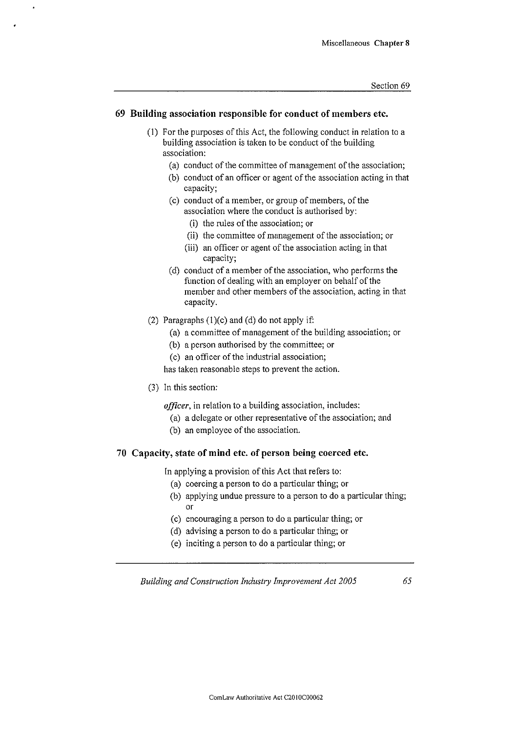#### **69 Building association responsible for conduct of members etc.**

- (I) For the purposes of this Act, the following conduct in relation to a building association is taken to be conduct of the building **association:** 
	- (a) conduct of the committee of management of the association;
	- (b) conduct of an officer or agent of the association acting in that capacity;
	- (c) conduct of a member, or group of members, of the association where the conduct is authorised by:
		- (i) the rules of the association; or
		- (ii) the committee of management of the association; or
		- (iii) an officer or agent of the association acting in that capacity;
	- (d) conduct of a member of the association, who performs the function of dealing with an employer on behalf of the member and other members of the association, acting in that capacity.
- (2) Paragraphs  $(1)(c)$  and  $(d)$  do not apply if:
	- (a) a committee of management of the building association; or
	- (b) a person authorised by the committee; or
	- (c) an officer of the industrial association;

has taken reasonable steps to prevent the action.

(3) In this section:

*officer,* in relation to a building association, includes:

- (a) a delegate or other representative of the association; and
- (b) an employee of the association.

#### **70 Capacity, state of mind etc. of person being coerced etc.**

In applying a provision of this Act that refers to:

- (a) coercing a person to do a particular thing; or
- (b) applying undue pressure to a person to do a particular thing; or
- (c) encouraging a person to do a particular thing; or
- (d) advising a person to do a particular thing; or
- (e) inciting a person to do a particular thing; or

*Building and Construction Industry Improvement Act 2005*